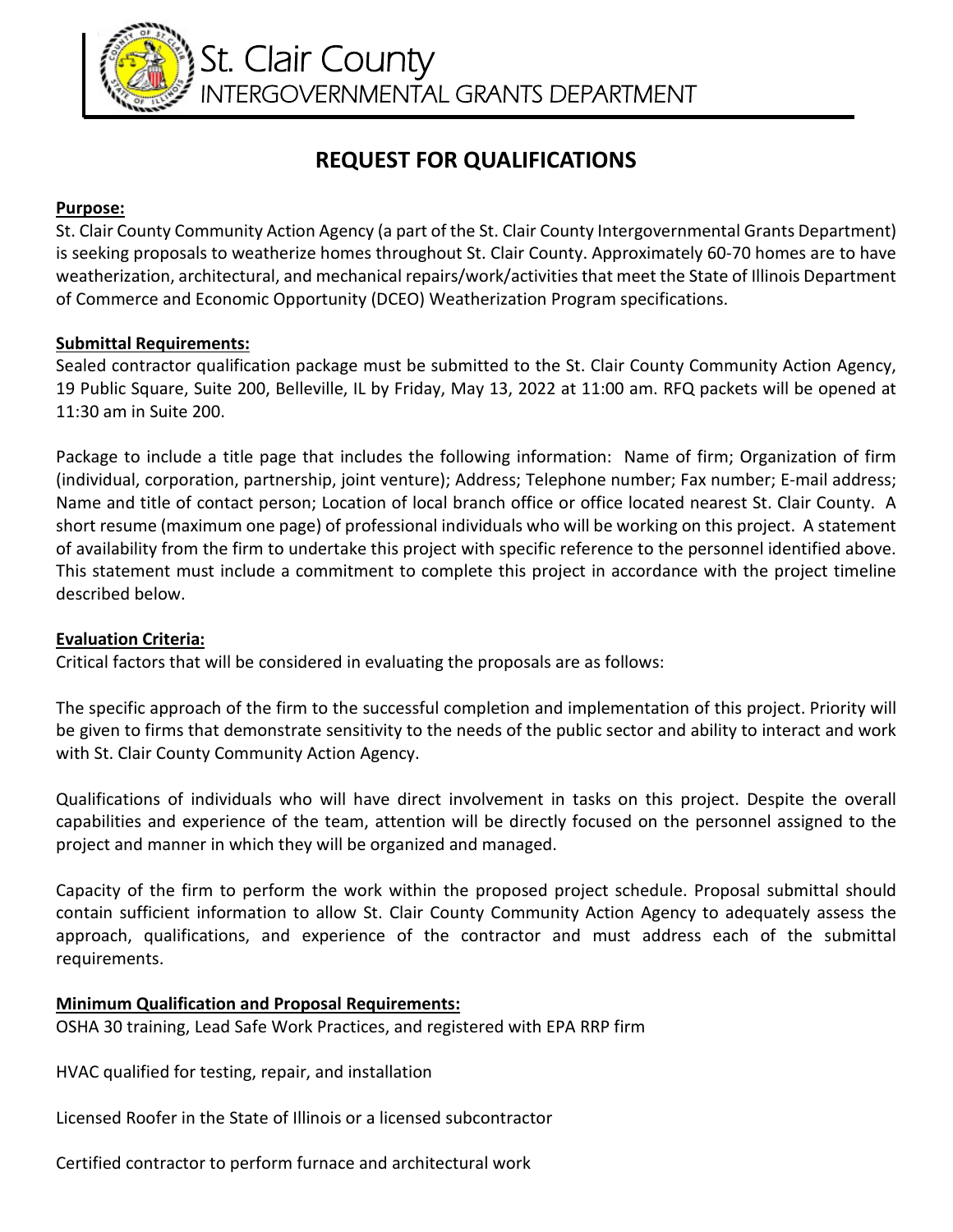

# **REQUEST FOR QUALIFICATIONS**

#### **Purpose:**

St. Clair County Community Action Agency (a part of the St. Clair County Intergovernmental Grants Department) is seeking proposals to weatherize homes throughout St. Clair County. Approximately 60-70 homes are to have weatherization, architectural, and mechanical repairs/work/activities that meet the State of Illinois Department of Commerce and Economic Opportunity (DCEO) Weatherization Program specifications.

### **Submittal Requirements:**

Sealed contractor qualification package must be submitted to the St. Clair County Community Action Agency, 19 Public Square, Suite 200, Belleville, IL by Friday, May 13, 2022 at 11:00 am. RFQ packets will be opened at 11:30 am in Suite 200.

Package to include a title page that includes the following information: Name of firm; Organization of firm (individual, corporation, partnership, joint venture); Address; Telephone number; Fax number; E-mail address; Name and title of contact person; Location of local branch office or office located nearest St. Clair County. A short resume (maximum one page) of professional individuals who will be working on this project. A statement of availability from the firm to undertake this project with specific reference to the personnel identified above. This statement must include a commitment to complete this project in accordance with the project timeline described below.

## **Evaluation Criteria:**

Critical factors that will be considered in evaluating the proposals are as follows:

The specific approach of the firm to the successful completion and implementation of this project. Priority will be given to firms that demonstrate sensitivity to the needs of the public sector and ability to interact and work with St. Clair County Community Action Agency.

Qualifications of individuals who will have direct involvement in tasks on this project. Despite the overall capabilities and experience of the team, attention will be directly focused on the personnel assigned to the project and manner in which they will be organized and managed.

Capacity of the firm to perform the work within the proposed project schedule. Proposal submittal should contain sufficient information to allow St. Clair County Community Action Agency to adequately assess the approach, qualifications, and experience of the contractor and must address each of the submittal requirements.

## **Minimum Qualification and Proposal Requirements:**

OSHA 30 training, Lead Safe Work Practices, and registered with EPA RRP firm

HVAC qualified for testing, repair, and installation

Licensed Roofer in the State of Illinois or a licensed subcontractor

Certified contractor to perform furnace and architectural work